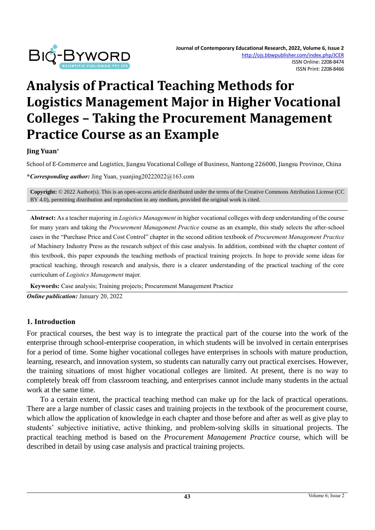

# **Analysis of Practical Teaching Methods for Logistics Management Major in Higher Vocational Colleges – Taking the Procurement Management Practice Course as an Example**

**Jing Yuan\*** 

School of E-Commerce and Logistics, Jiangsu Vocational College of Business, Nantong 226000, Jiangsu Province, China

**\****Corresponding author:* Jing Yuan, yuanjing20222022@163.com

**Copyright:** © 2022 Author(s). This is an open-access article distributed under the terms of th[e Creative Commons Attribution License \(CC](https://creativecommons.org/licenses/by/4.0/)  [BY 4.0\),](https://creativecommons.org/licenses/by/4.0/) permitting distribution and reproduction in any medium, provided the original work is cited.

**Abstract:** As a teacher majoring in *Logistics Management* in higher vocational colleges with deep understanding of the course for many years and taking the *Procurement Management Practice* course as an example, this study selects the after-school cases in the "Purchase Price and Cost Control" chapter in the second edition textbook of *Procurement Management Practice* of Machinery Industry Press as the research subject of this case analysis. In addition, combined with the chapter content of this textbook, this paper expounds the teaching methods of practical training projects. In hope to provide some ideas for practical teaching, through research and analysis, there is a clearer understanding of the practical teaching of the core curriculum of *Logistics Management* major.

**Keywords:** Case analysis; Training projects; Procurement Management Practice

*Online publication:* January 20, 2022

#### **1. Introduction**

For practical courses, the best way is to integrate the practical part of the course into the work of the enterprise through school-enterprise cooperation, in which students will be involved in certain enterprises for a period of time. Some higher vocational colleges have enterprises in schools with mature production, learning, research, and innovation system, so students can naturally carry out practical exercises. However, the training situations of most higher vocational colleges are limited. At present, there is no way to completely break off from classroom teaching, and enterprises cannot include many students in the actual work at the same time.

To a certain extent, the practical teaching method can make up for the lack of practical operations. There are a large number of classic cases and training projects in the textbook of the procurement course, which allow the application of knowledge in each chapter and those before and after as well as give play to students' subjective initiative, active thinking, and problem-solving skills in situational projects. The practical teaching method is based on the *Procurement Management Practice* course, which will be described in detail by using case analysis and practical training projects.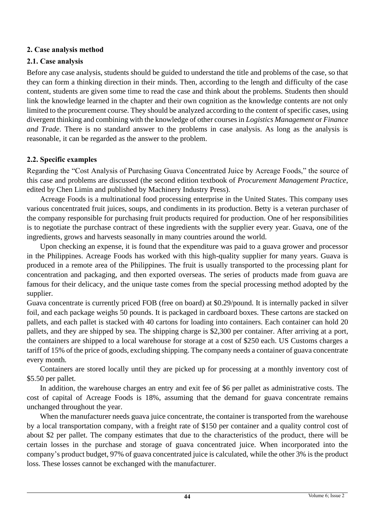### **2. Case analysis method**

## **2.1. Case analysis**

Before any case analysis, students should be guided to understand the title and problems of the case, so that they can form a thinking direction in their minds. Then, according to the length and difficulty of the case content, students are given some time to read the case and think about the problems. Students then should link the knowledge learned in the chapter and their own cognition as the knowledge contents are not only limited to the procurement course. They should be analyzed according to the content of specific cases, using divergent thinking and combining with the knowledge of other courses in *Logistics Management* or *Finance and Trade*. There is no standard answer to the problems in case analysis. As long as the analysis is reasonable, it can be regarded as the answer to the problem.

## **2.2. Specific examples**

Regarding the "Cost Analysis of Purchasing Guava Concentrated Juice by Acreage Foods," the source of this case and problems are discussed (the second edition textbook of *Procurement Management Practice*, edited by Chen Limin and published by Machinery Industry Press).

Acreage Foods is a multinational food processing enterprise in the United States. This company uses various concentrated fruit juices, soups, and condiments in its production. Betty is a veteran purchaser of the company responsible for purchasing fruit products required for production. One of her responsibilities is to negotiate the purchase contract of these ingredients with the supplier every year. Guava, one of the ingredients, grows and harvests seasonally in many countries around the world.

Upon checking an expense, it is found that the expenditure was paid to a guava grower and processor in the Philippines. Acreage Foods has worked with this high-quality supplier for many years. Guava is produced in a remote area of the Philippines. The fruit is usually transported to the processing plant for concentration and packaging, and then exported overseas. The series of products made from guava are famous for their delicacy, and the unique taste comes from the special processing method adopted by the supplier.

Guava concentrate is currently priced FOB (free on board) at \$0.29/pound. It is internally packed in silver foil, and each package weighs 50 pounds. It is packaged in cardboard boxes. These cartons are stacked on pallets, and each pallet is stacked with 40 cartons for loading into containers. Each container can hold 20 pallets, and they are shipped by sea. The shipping charge is \$2,300 per container. After arriving at a port, the containers are shipped to a local warehouse for storage at a cost of \$250 each. US Customs charges a tariff of 15% of the price of goods, excluding shipping. The company needs a container of guava concentrate every month.

Containers are stored locally until they are picked up for processing at a monthly inventory cost of \$5.50 per pallet.

In addition, the warehouse charges an entry and exit fee of \$6 per pallet as administrative costs. The cost of capital of Acreage Foods is 18%, assuming that the demand for guava concentrate remains unchanged throughout the year.

When the manufacturer needs guava juice concentrate, the container is transported from the warehouse by a local transportation company, with a freight rate of \$150 per container and a quality control cost of about \$2 per pallet. The company estimates that due to the characteristics of the product, there will be certain losses in the purchase and storage of guava concentrated juice. When incorporated into the company's product budget, 97% of guava concentrated juice is calculated, while the other 3% is the product loss. These losses cannot be exchanged with the manufacturer.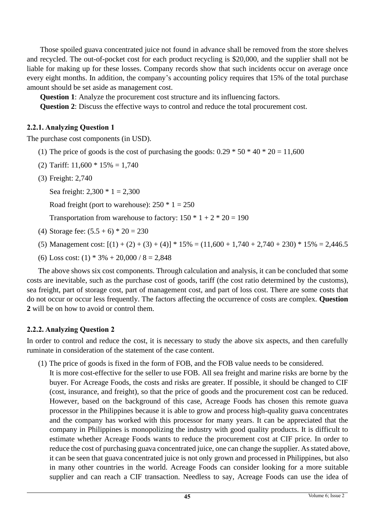Those spoiled guava concentrated juice not found in advance shall be removed from the store shelves and recycled. The out-of-pocket cost for each product recycling is \$20,000, and the supplier shall not be liable for making up for these losses. Company records show that such incidents occur on average once every eight months. In addition, the company's accounting policy requires that 15% of the total purchase amount should be set aside as management cost.

**Question 1**: Analyze the procurement cost structure and its influencing factors.

**Question 2**: Discuss the effective ways to control and reduce the total procurement cost.

#### **2.2.1. Analyzing Question 1**

The purchase cost components (in USD).

- (1) The price of goods is the cost of purchasing the goods:  $0.29 * 50 * 40 * 20 = 11,600$
- (2) Tariff:  $11,600 * 15\% = 1,740$
- (3) Freight: 2,740

Sea freight: 2,300 \* 1 = 2,300

Road freight (port to warehouse):  $250 * 1 = 250$ 

Transportation from warehouse to factory:  $150 * 1 + 2 * 20 = 190$ 

- (4) Storage fee:  $(5.5 + 6) * 20 = 230$
- (5) Management cost:  $[(1) + (2) + (3) + (4)]$  \*  $15\% = (11,600 + 1,740 + 2,740 + 230)$  \*  $15\% = 2,446.5$
- (6) Loss cost: (1)  $*$  3% + 20,000 / 8 = 2,848

The above shows six cost components. Through calculation and analysis, it can be concluded that some costs are inevitable, such as the purchase cost of goods, tariff (the cost ratio determined by the customs), sea freight, part of storage cost, part of management cost, and part of loss cost. There are some costs that do not occur or occur less frequently. The factors affecting the occurrence of costs are complex. **Question 2** will be on how to avoid or control them.

#### **2.2.2. Analyzing Question 2**

In order to control and reduce the cost, it is necessary to study the above six aspects, and then carefully ruminate in consideration of the statement of the case content.

(1) The price of goods is fixed in the form of FOB, and the FOB value needs to be considered. It is more cost-effective for the seller to use FOB. All sea freight and marine risks are borne by the buyer. For Acreage Foods, the costs and risks are greater. If possible, it should be changed to CIF (cost, insurance, and freight), so that the price of goods and the procurement cost can be reduced. However, based on the background of this case, Acreage Foods has chosen this remote guava processor in the Philippines because it is able to grow and process high-quality guava concentrates and the company has worked with this processor for many years. It can be appreciated that the company in Philippines is monopolizing the industry with good quality products. It is difficult to estimate whether Acreage Foods wants to reduce the procurement cost at CIF price. In order to reduce the cost of purchasing guava concentrated juice, one can change the supplier. As stated above, it can be seen that guava concentrated juice is not only grown and processed in Philippines, but also in many other countries in the world. Acreage Foods can consider looking for a more suitable supplier and can reach a CIF transaction. Needless to say, Acreage Foods can use the idea of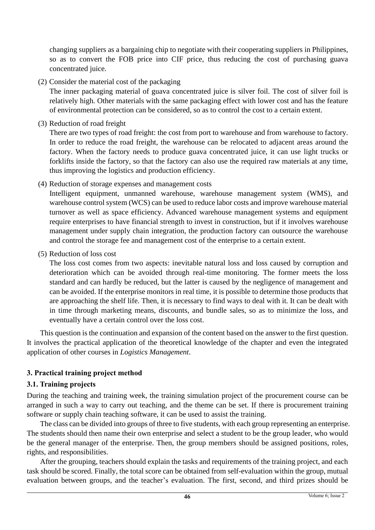changing suppliers as a bargaining chip to negotiate with their cooperating suppliers in Philippines, so as to convert the FOB price into CIF price, thus reducing the cost of purchasing guava concentrated juice.

(2) Consider the material cost of the packaging

The inner packaging material of guava concentrated juice is silver foil. The cost of silver foil is relatively high. Other materials with the same packaging effect with lower cost and has the feature of environmental protection can be considered, so as to control the cost to a certain extent.

(3) Reduction of road freight

There are two types of road freight: the cost from port to warehouse and from warehouse to factory. In order to reduce the road freight, the warehouse can be relocated to adjacent areas around the factory. When the factory needs to produce guava concentrated juice, it can use light trucks or forklifts inside the factory, so that the factory can also use the required raw materials at any time, thus improving the logistics and production efficiency.

(4) Reduction of storage expenses and management costs

Intelligent equipment, unmanned warehouse, warehouse management system (WMS), and warehouse control system (WCS) can be used to reduce labor costs and improve warehouse material turnover as well as space efficiency. Advanced warehouse management systems and equipment require enterprises to have financial strength to invest in construction, but if it involves warehouse management under supply chain integration, the production factory can outsource the warehouse and control the storage fee and management cost of the enterprise to a certain extent.

(5) Reduction of loss cost

The loss cost comes from two aspects: inevitable natural loss and loss caused by corruption and deterioration which can be avoided through real-time monitoring. The former meets the loss standard and can hardly be reduced, but the latter is caused by the negligence of management and can be avoided. If the enterprise monitors in real time, it is possible to determine those products that are approaching the shelf life. Then, it is necessary to find ways to deal with it. It can be dealt with in time through marketing means, discounts, and bundle sales, so as to minimize the loss, and eventually have a certain control over the loss cost.

This question is the continuation and expansion of the content based on the answer to the first question. It involves the practical application of the theoretical knowledge of the chapter and even the integrated application of other courses in *Logistics Management*.

## **3. Practical training project method**

#### **3.1. Training projects**

During the teaching and training week, the training simulation project of the procurement course can be arranged in such a way to carry out teaching, and the theme can be set. If there is procurement training software or supply chain teaching software, it can be used to assist the training.

The class can be divided into groups of three to five students, with each group representing an enterprise. The students should then name their own enterprise and select a student to be the group leader, who would be the general manager of the enterprise. Then, the group members should be assigned positions, roles, rights, and responsibilities.

After the grouping, teachers should explain the tasks and requirements of the training project, and each task should be scored. Finally, the total score can be obtained from self-evaluation within the group, mutual evaluation between groups, and the teacher's evaluation. The first, second, and third prizes should be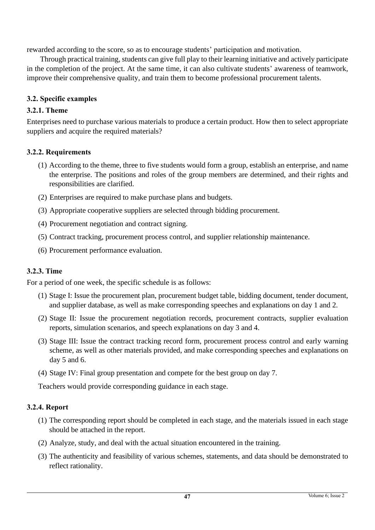rewarded according to the score, so as to encourage students' participation and motivation.

Through practical training, students can give full play to their learning initiative and actively participate in the completion of the project. At the same time, it can also cultivate students' awareness of teamwork, improve their comprehensive quality, and train them to become professional procurement talents.

### **3.2. Specific examples**

#### **3.2.1. Theme**

Enterprises need to purchase various materials to produce a certain product. How then to select appropriate suppliers and acquire the required materials?

### **3.2.2. Requirements**

- (1) According to the theme, three to five students would form a group, establish an enterprise, and name the enterprise. The positions and roles of the group members are determined, and their rights and responsibilities are clarified.
- (2) Enterprises are required to make purchase plans and budgets.
- (3) Appropriate cooperative suppliers are selected through bidding procurement.
- (4) Procurement negotiation and contract signing.
- (5) Contract tracking, procurement process control, and supplier relationship maintenance.
- (6) Procurement performance evaluation.

## **3.2.3. Time**

For a period of one week, the specific schedule is as follows:

- (1) Stage I: Issue the procurement plan, procurement budget table, bidding document, tender document, and supplier database, as well as make corresponding speeches and explanations on day 1 and 2.
- (2) Stage II: Issue the procurement negotiation records, procurement contracts, supplier evaluation reports, simulation scenarios, and speech explanations on day 3 and 4.
- (3) Stage III: Issue the contract tracking record form, procurement process control and early warning scheme, as well as other materials provided, and make corresponding speeches and explanations on day 5 and 6.
- (4) Stage IV: Final group presentation and compete for the best group on day 7.

Teachers would provide corresponding guidance in each stage.

## **3.2.4. Report**

- (1) The corresponding report should be completed in each stage, and the materials issued in each stage should be attached in the report.
- (2) Analyze, study, and deal with the actual situation encountered in the training.
- (3) The authenticity and feasibility of various schemes, statements, and data should be demonstrated to reflect rationality.